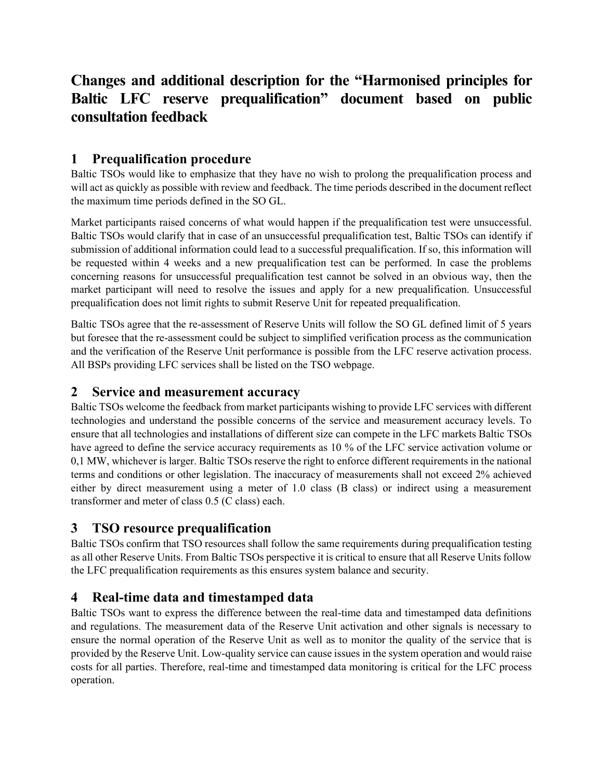# **Changes and additional description for the "Harmonised principles for Baltic LFC reserve prequalification" document based on public consultation feedback**

## **1 Prequalification procedure**

Baltic TSOs would like to emphasize that they have no wish to prolong the prequalification process and will act as quickly as possible with review and feedback. The time periods described in the document reflect the maximum time periods defined in the SO GL.

Market participants raised concerns of what would happen if the prequalification test were unsuccessful. Baltic TSOs would clarify that in case of an unsuccessful prequalification test, Baltic TSOs can identify if submission of additional information could lead to a successful prequalification. If so, this information will be requested within 4 weeks and a new prequalification test can be performed. In case the problems concerning reasons for unsuccessful prequalification test cannot be solved in an obvious way, then the market participant will need to resolve the issues and apply for a new prequalification. Unsuccessful prequalification does not limit rights to submit Reserve Unit for repeated prequalification.

Baltic TSOs agree that the re-assessment of Reserve Units will follow the SO GL defined limit of 5 years but foresee that the re-assessment could be subject to simplified verification process as the communication and the verification of the Reserve Unit performance is possible from the LFC reserve activation process. All BSPs providing LFC services shall be listed on the TSO webpage.

#### **2 Service and measurement accuracy**

Baltic TSOs welcome the feedback from market participants wishing to provide LFC services with different technologies and understand the possible concerns of the service and measurement accuracy levels. To ensure that all technologies and installations of different size can compete in the LFC markets Baltic TSOs have agreed to define the service accuracy requirements as 10 % of the LFC service activation volume or 0,1 MW, whichever is larger. Baltic TSOs reserve the right to enforce different requirements in the national terms and conditions or other legislation. The inaccuracy of measurements shall not exceed 2% achieved either by direct measurement using a meter of 1.0 class (B class) or indirect using a measurement transformer and meter of class 0.5 (C class) each.

### **3 TSO resource prequalification**

Baltic TSOs confirm that TSO resources shall follow the same requirements during prequalification testing as all other Reserve Units. From Baltic TSOs perspective it is critical to ensure that all Reserve Units follow the LFC prequalification requirements as this ensures system balance and security.

# **4 Real-time data and timestamped data**

Baltic TSOs want to express the difference between the real-time data and timestamped data definitions and regulations. The measurement data of the Reserve Unit activation and other signals is necessary to ensure the normal operation of the Reserve Unit as well as to monitor the quality of the service that is provided by the Reserve Unit. Low-quality service can cause issues in the system operation and would raise costs for all parties. Therefore, real-time and timestamped data monitoring is critical for the LFC process operation.